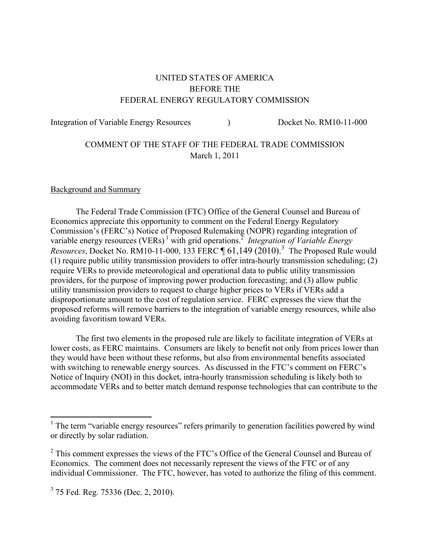# UNITED STATES OF AMERICA BEFORE THE FEDERAL ENERGY REGULATORY COMMISSION

Integration of Variable Energy Resources (a) Docket No. RM10-11-000

# COMMENT OF THE STAFF OF THE FEDERAL TRADE COMMISSION March 1, 2011

#### Background and Summary

 The Federal Trade Commission (FTC) Office of the General Counsel and Bureau of Economics appreciate this opportunity to comment on the Federal Energy Regulatory Commission's (FERC's) Notice of Proposed Rulemaking (NOPR) regarding integration of variable energy resources (VERs)<sup>1</sup> with grid operations.<sup>2</sup> *Integration of Variable Energy Resources*, Docket No. RM10-11-000, 133 FERC  $\P$  61,149 (2010).<sup>3</sup> The Proposed Rule would (1) require public utility transmission providers to offer intra-hourly transmission scheduling; (2) require VERs to provide meteorological and operational data to public utility transmission providers, for the purpose of improving power production forecasting; and (3) allow public utility transmission providers to request to charge higher prices to VERs if VERs add a disproportionate amount to the cost of regulation service. FERC expresses the view that the proposed reforms will remove barriers to the integration of variable energy resources, while also avoiding favoritism toward VERs.

 The first two elements in the proposed rule are likely to facilitate integration of VERs at lower costs, as FERC maintains. Consumers are likely to benefit not only from prices lower than they would have been without these reforms, but also from environmental benefits associated with switching to renewable energy sources. As discussed in the FTC's comment on FERC's Notice of Inquiry (NOI) in this docket, intra-hourly transmission scheduling is likely both to accommodate VERs and to better match demand response technologies that can contribute to the

<sup>&</sup>lt;sup>1</sup> The term "variable energy resources" refers primarily to generation facilities powered by wind or directly by solar radiation.

 $2$  This comment expresses the views of the FTC's Office of the General Counsel and Bureau of Economics. The comment does not necessarily represent the views of the FTC or of any individual Commissioner. The FTC, however, has voted to authorize the filing of this comment.

 $3\,$  75 Fed. Reg. 75336 (Dec. 2, 2010).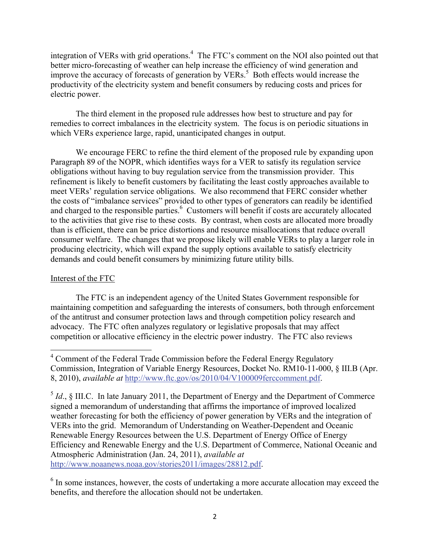integration of VERs with grid operations.<sup>4</sup> The FTC's comment on the NOI also pointed out that better micro-forecasting of weather can help increase the efficiency of wind generation and improve the accuracy of forecasts of generation by VERs.<sup>5</sup> Both effects would increase the productivity of the electricity system and benefit consumers by reducing costs and prices for electric power.

 The third element in the proposed rule addresses how best to structure and pay for remedies to correct imbalances in the electricity system. The focus is on periodic situations in which VERs experience large, rapid, unanticipated changes in output.

We encourage FERC to refine the third element of the proposed rule by expanding upon Paragraph 89 of the NOPR, which identifies ways for a VER to satisfy its regulation service obligations without having to buy regulation service from the transmission provider. This refinement is likely to benefit customers by facilitating the least costly approaches available to meet VERs' regulation service obligations. We also recommend that FERC consider whether the costs of "imbalance services" provided to other types of generators can readily be identified and charged to the responsible parties.<sup>6</sup> Customers will benefit if costs are accurately allocated to the activities that give rise to these costs. By contrast, when costs are allocated more broadly than is efficient, there can be price distortions and resource misallocations that reduce overall consumer welfare. The changes that we propose likely will enable VERs to play a larger role in producing electricity, which will expand the supply options available to satisfy electricity demands and could benefit consumers by minimizing future utility bills.

### Interest of the FTC

The FTC is an independent agency of the United States Government responsible for maintaining competition and safeguarding the interests of consumers, both through enforcement of the antitrust and consumer protection laws and through competition policy research and advocacy. The FTC often analyzes regulatory or legislative proposals that may affect competition or allocative efficiency in the electric power industry. The FTC also reviews

<sup>6</sup> In some instances, however, the costs of undertaking a more accurate allocation may exceed the benefits, and therefore the allocation should not be undertaken.

 4 Comment of the Federal Trade Commission before the Federal Energy Regulatory Commission, Integration of Variable Energy Resources, Docket No. RM10-11-000, § III.B (Apr. 8, 2010), *available at* http://www.ftc.gov/os/2010/04/V100009ferccomment.pdf.

 $<sup>5</sup> Id., § III.C. In late January 2011, the Department of Energy and the Department of Commerce$ </sup> signed a memorandum of understanding that affirms the importance of improved localized weather forecasting for both the efficiency of power generation by VERs and the integration of VERs into the grid. Memorandum of Understanding on Weather-Dependent and Oceanic Renewable Energy Resources between the U.S. Department of Energy Office of Energy Efficiency and Renewable Energy and the U.S. Department of Commerce, National Oceanic and Atmospheric Administration (Jan. 24, 2011), *available at* http://www.noaanews.noaa.gov/stories2011/images/28812.pdf.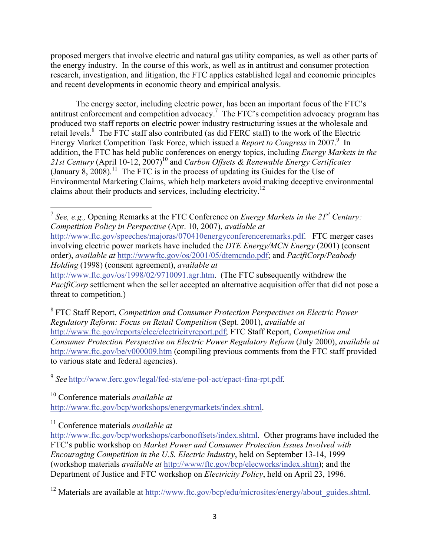proposed mergers that involve electric and natural gas utility companies, as well as other parts of the energy industry. In the course of this work, as well as in antitrust and consumer protection research, investigation, and litigation, the FTC applies established legal and economic principles and recent developments in economic theory and empirical analysis.

 The energy sector, including electric power, has been an important focus of the FTC's antitrust enforcement and competition advocacy.<sup>7</sup> The FTC's competition advocacy program has produced two staff reports on electric power industry restructuring issues at the wholesale and retail levels. $8$  The FTC staff also contributed (as did FERC staff) to the work of the Electric Energy Market Competition Task Force, which issued a *Report to Congress* in 2007.<sup>9</sup> In addition, the FTC has held public conferences on energy topics, including *Energy Markets in the*  21st Century (April 10-12, 2007)<sup>10</sup> and *Carbon Offsets & Renewable Energy Certificates* (January 8, 2008).<sup>11</sup> The FTC is in the process of updating its Guides for the Use of Environmental Marketing Claims, which help marketers avoid making deceptive environmental claims about their products and services, including electricity.12

<sup>7</sup> *See, e.g.,* Opening Remarks at the FTC Conference on *Energy Markets in the 21st Century: Competition Policy in Perspective* (Apr. 10, 2007), *available at* http://www.ftc.gov/speeches/majoras/070410energyconferenceremarks.pdf. FTC merger cases involving electric power markets have included the *DTE Energy/MCN Energy* (2001) (consent order), *available at* http://wwwftc.gov/os/2001/05/dtemcndo.pdf; and *PacifiCorp/Peabody Holding* (1998) (consent agreement), *available at*

http://www.ftc.gov/os/1998/02/9710091.agr.htm. (The FTC subsequently withdrew the *PacifiCorp* settlement when the seller accepted an alternative acquisition offer that did not pose a threat to competition.)

8 FTC Staff Report, *Competition and Consumer Protection Perspectives on Electric Power Regulatory Reform: Focus on Retail Competition* (Sept. 2001), *available at* http://www.ftc.gov/reports/elec/electricityreport.pdf; FTC Staff Report, *Competition and Consumer Protection Perspective on Electric Power Regulatory Reform* (July 2000), *available at* http://www.ftc.gov/be/v000009.htm (compiling previous comments from the FTC staff provided to various state and federal agencies).

<sup>9</sup> *See* http://www.ferc.gov/legal/fed-sta/ene-pol-act/epact-fina-rpt.pdf.

10 Conference materials *available at*

http://www.ftc.gov/bcp/workshops/energymarkets/index.shtml.

11 Conference materials *available at*

http://www.ftc.gov/bcp/workshops/carbonoffsets/index.shtml. Other programs have included the FTC's public workshop on *Market Power and Consumer Protection Issues Involved with Encouraging Competition in the U.S. Electric Industry*, held on September 13-14, 1999 (workshop materials *available at* http://www/ftc.gov/bcp/elecworks/index.shtm); and the Department of Justice and FTC workshop on *Electricity Policy*, held on April 23, 1996.

<sup>12</sup> Materials are available at http://www.ftc.gov/bcp/edu/microsites/energy/about\_guides.shtml.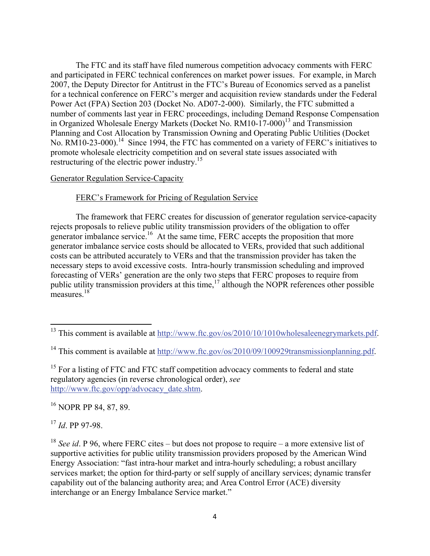The FTC and its staff have filed numerous competition advocacy comments with FERC and participated in FERC technical conferences on market power issues. For example, in March 2007, the Deputy Director for Antitrust in the FTC's Bureau of Economics served as a panelist for a technical conference on FERC's merger and acquisition review standards under the Federal Power Act (FPA) Section 203 (Docket No. AD07-2-000). Similarly, the FTC submitted a number of comments last year in FERC proceedings, including Demand Response Compensation in Organized Wholesale Energy Markets (Docket No.  $RM10-17-000$ <sup>13</sup> and Transmission Planning and Cost Allocation by Transmission Owning and Operating Public Utilities (Docket No. RM10-23-000).<sup>14</sup> Since 1994, the FTC has commented on a variety of FERC's initiatives to promote wholesale electricity competition and on several state issues associated with restructuring of the electric power industry.<sup>15</sup>

#### Generator Regulation Service-Capacity

### FERC's Framework for Pricing of Regulation Service

The framework that FERC creates for discussion of generator regulation service-capacity rejects proposals to relieve public utility transmission providers of the obligation to offer generator imbalance service.<sup>16</sup> At the same time, FERC accepts the proposition that more generator imbalance service costs should be allocated to VERs, provided that such additional costs can be attributed accurately to VERs and that the transmission provider has taken the necessary steps to avoid excessive costs. Intra-hourly transmission scheduling and improved forecasting of VERs' generation are the only two steps that FERC proposes to require from public utility transmission providers at this time, $17$  although the NOPR references other possible measures.<sup>18</sup>

<sup>16</sup> NOPR PP 84, 87, 89.

<sup>17</sup> *Id*. PP 97-98.

<sup>&</sup>lt;sup>13</sup> This comment is available at  $\frac{http://www.ftc.gov/os/2010/10/1010wholesale energy markets.pdf}{$ .

<sup>&</sup>lt;sup>14</sup> This comment is available at http://www.ftc.gov/os/2010/09/100929transmissionplanning.pdf.

<sup>&</sup>lt;sup>15</sup> For a listing of FTC and FTC staff competition advocacy comments to federal and state regulatory agencies (in reverse chronological order), *see* http://www.ftc.gov/opp/advocacy\_date.shtm.

<sup>18</sup> *See id*. P 96, where FERC cites – but does not propose to require – a more extensive list of supportive activities for public utility transmission providers proposed by the American Wind Energy Association: "fast intra-hour market and intra-hourly scheduling; a robust ancillary services market; the option for third-party or self supply of ancillary services; dynamic transfer capability out of the balancing authority area; and Area Control Error (ACE) diversity interchange or an Energy Imbalance Service market."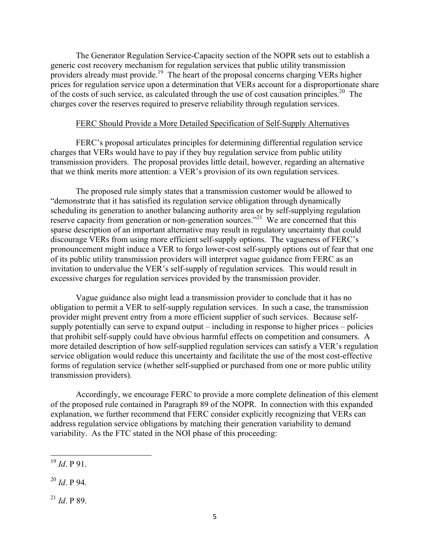The Generator Regulation Service-Capacity section of the NOPR sets out to establish a generic cost recovery mechanism for regulation services that public utility transmission providers already must provide.19 The heart of the proposal concerns charging VERs higher prices for regulation service upon a determination that VERs account for a disproportionate share of the costs of such service, as calculated through the use of cost causation principles.<sup>20</sup> The charges cover the reserves required to preserve reliability through regulation services.

#### FERC Should Provide a More Detailed Specification of Self-Supply Alternatives

FERC's proposal articulates principles for determining differential regulation service charges that VERs would have to pay if they buy regulation service from public utility transmission providers. The proposal provides little detail, however, regarding an alternative that we think merits more attention: a VER's provision of its own regulation services.

The proposed rule simply states that a transmission customer would be allowed to "demonstrate that it has satisfied its regulation service obligation through dynamically scheduling its generation to another balancing authority area or by self-supplying regulation reserve capacity from generation or non-generation sources."<sup>21</sup> We are concerned that this sparse description of an important alternative may result in regulatory uncertainty that could discourage VERs from using more efficient self-supply options. The vagueness of FERC's pronouncement might induce a VER to forgo lower-cost self-supply options out of fear that one of its public utility transmission providers will interpret vague guidance from FERC as an invitation to undervalue the VER's self-supply of regulation services. This would result in excessive charges for regulation services provided by the transmission provider.

Vague guidance also might lead a transmission provider to conclude that it has no obligation to permit a VER to self-supply regulation services. In such a case, the transmission provider might prevent entry from a more efficient supplier of such services. Because selfsupply potentially can serve to expand output – including in response to higher prices – policies that prohibit self-supply could have obvious harmful effects on competition and consumers. A more detailed description of how self-supplied regulation services can satisfy a VER's regulation service obligation would reduce this uncertainty and facilitate the use of the most cost-effective forms of regulation service (whether self-supplied or purchased from one or more public utility transmission providers).

Accordingly, we encourage FERC to provide a more complete delineation of this element of the proposed rule contained in Paragraph 89 of the NOPR. In connection with this expanded explanation, we further recommend that FERC consider explicitly recognizing that VERs can address regulation service obligations by matching their generation variability to demand variability. As the FTC stated in the NOI phase of this proceeding:

 $^{21}$  *Id*. P 89.

 $^{19}$  *Id*. P 91.

 $^{20}$  *Id*. P 94.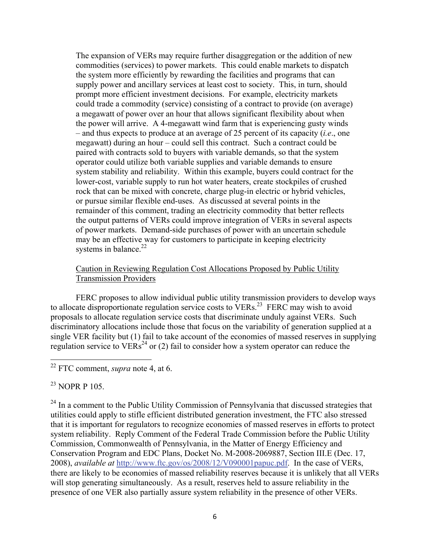The expansion of VERs may require further disaggregation or the addition of new commodities (services) to power markets. This could enable markets to dispatch the system more efficiently by rewarding the facilities and programs that can supply power and ancillary services at least cost to society. This, in turn, should prompt more efficient investment decisions. For example, electricity markets could trade a commodity (service) consisting of a contract to provide (on average) a megawatt of power over an hour that allows significant flexibility about when the power will arrive. A 4-megawatt wind farm that is experiencing gusty winds – and thus expects to produce at an average of 25 percent of its capacity (*i.e*., one megawatt) during an hour – could sell this contract. Such a contract could be paired with contracts sold to buyers with variable demands, so that the system operator could utilize both variable supplies and variable demands to ensure system stability and reliability. Within this example, buyers could contract for the lower-cost, variable supply to run hot water heaters, create stockpiles of crushed rock that can be mixed with concrete, charge plug-in electric or hybrid vehicles, or pursue similar flexible end-uses. As discussed at several points in the remainder of this comment, trading an electricity commodity that better reflects the output patterns of VERs could improve integration of VERs in several aspects of power markets. Demand-side purchases of power with an uncertain schedule may be an effective way for customers to participate in keeping electricity systems in balance. $22$ 

### Caution in Reviewing Regulation Cost Allocations Proposed by Public Utility Transmission Providers

 FERC proposes to allow individual public utility transmission providers to develop ways to allocate disproportionate regulation service costs to  $VERs$ <sup>23</sup> FERC may wish to avoid proposals to allocate regulation service costs that discriminate unduly against VERs. Such discriminatory allocations include those that focus on the variability of generation supplied at a single VER facility but (1) fail to take account of the economies of massed reserves in supplying regulation service to  $VERs<sup>24</sup>$  or (2) fail to consider how a system operator can reduce the

<sup>23</sup> NOPR P 105.

 $24$  In a comment to the Public Utility Commission of Pennsylvania that discussed strategies that utilities could apply to stifle efficient distributed generation investment, the FTC also stressed that it is important for regulators to recognize economies of massed reserves in efforts to protect system reliability. Reply Comment of the Federal Trade Commission before the Public Utility Commission, Commonwealth of Pennsylvania, in the Matter of Energy Efficiency and Conservation Program and EDC Plans, Docket No. M-2008-2069887, Section III.E (Dec. 17, 2008), *available at* http://www.ftc.gov/os/2008/12/V090001papuc.pdf. In the case of VERs, there are likely to be economies of massed reliability reserves because it is unlikely that all VERs will stop generating simultaneously. As a result, reserves held to assure reliability in the presence of one VER also partially assure system reliability in the presence of other VERs.

<sup>22</sup> FTC comment, *supra* note 4, at 6.